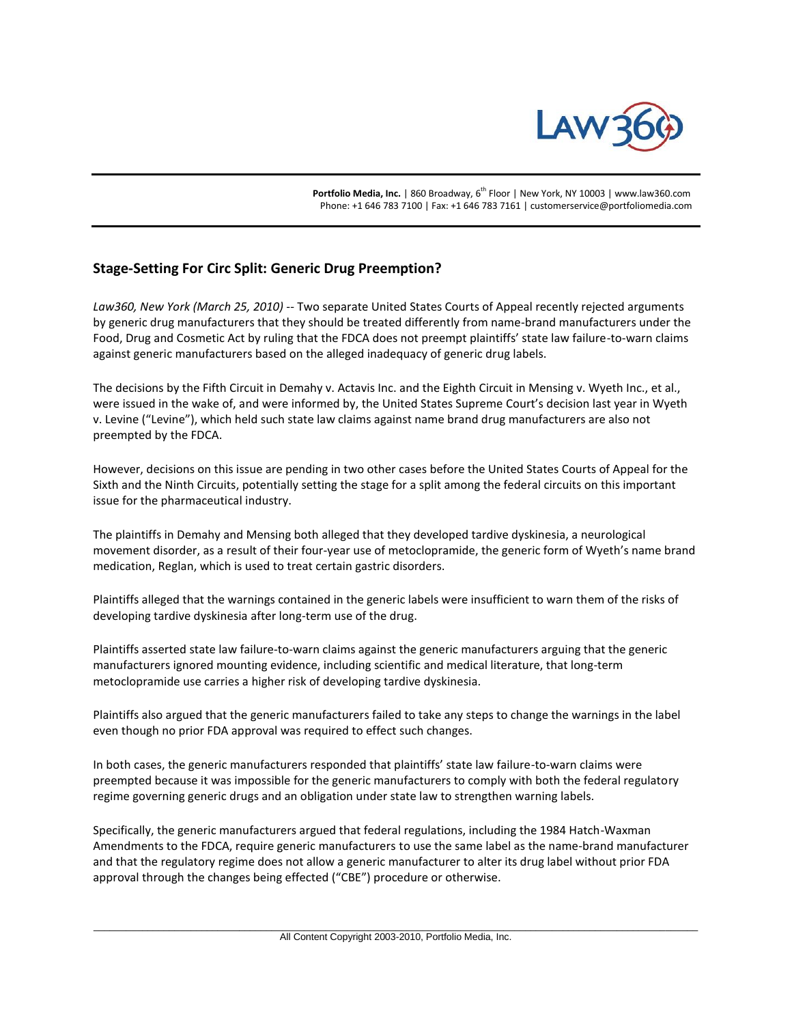

Portfolio Media, Inc. | 860 Broadway, 6<sup>th</sup> Floor | New York, NY 10003 | www.law360.com Phone: +1 646 783 7100 | Fax: +1 646 783 7161 | customerservice@portfoliomedia.com

## **Stage-Setting For Circ Split: Generic Drug Preemption?**

*Law360, New York (March 25, 2010)* -- Two separate United States Courts of Appeal recently rejected arguments by generic drug manufacturers that they should be treated differently from name-brand manufacturers under the Food, Drug and Cosmetic Act by ruling that the FDCA does not preempt plaintiffs' state law failure-to-warn claims against generic manufacturers based on the alleged inadequacy of generic drug labels.

The decisions by the Fifth Circuit in Demahy v. Actavis Inc. and the Eighth Circuit in Mensing v. Wyeth Inc., et al., were issued in the wake of, and were informed by, the United States Supreme Court's decision last year in Wyeth v. Levine ("Levine"), which held such state law claims against name brand drug manufacturers are also not preempted by the FDCA.

However, decisions on this issue are pending in two other cases before the United States Courts of Appeal for the Sixth and the Ninth Circuits, potentially setting the stage for a split among the federal circuits on this important issue for the pharmaceutical industry.

The plaintiffs in Demahy and Mensing both alleged that they developed tardive dyskinesia, a neurological movement disorder, as a result of their four-year use of metoclopramide, the generic form of Wyeth's name brand medication, Reglan, which is used to treat certain gastric disorders.

Plaintiffs alleged that the warnings contained in the generic labels were insufficient to warn them of the risks of developing tardive dyskinesia after long-term use of the drug.

Plaintiffs asserted state law failure-to-warn claims against the generic manufacturers arguing that the generic manufacturers ignored mounting evidence, including scientific and medical literature, that long-term metoclopramide use carries a higher risk of developing tardive dyskinesia.

Plaintiffs also argued that the generic manufacturers failed to take any steps to change the warnings in the label even though no prior FDA approval was required to effect such changes.

In both cases, the generic manufacturers responded that plaintiffs' state law failure-to-warn claims were preempted because it was impossible for the generic manufacturers to comply with both the federal regulatory regime governing generic drugs and an obligation under state law to strengthen warning labels.

Specifically, the generic manufacturers argued that federal regulations, including the 1984 Hatch-Waxman Amendments to the FDCA, require generic manufacturers to use the same label as the name-brand manufacturer and that the regulatory regime does not allow a generic manufacturer to alter its drug label without prior FDA approval through the changes being effected ("CBE") procedure or otherwise.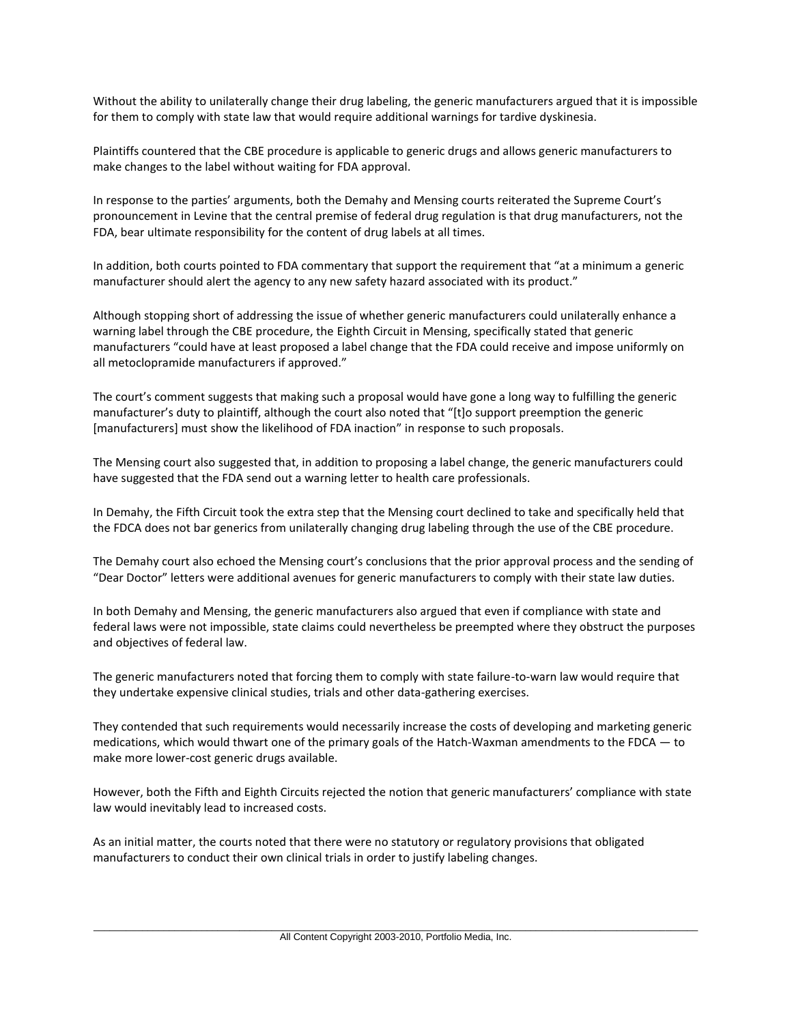Without the ability to unilaterally change their drug labeling, the generic manufacturers argued that it is impossible for them to comply with state law that would require additional warnings for tardive dyskinesia.

Plaintiffs countered that the CBE procedure is applicable to generic drugs and allows generic manufacturers to make changes to the label without waiting for FDA approval.

In response to the parties' arguments, both the Demahy and Mensing courts reiterated the Supreme Court's pronouncement in Levine that the central premise of federal drug regulation is that drug manufacturers, not the FDA, bear ultimate responsibility for the content of drug labels at all times.

In addition, both courts pointed to FDA commentary that support the requirement that "at a minimum a generic manufacturer should alert the agency to any new safety hazard associated with its product."

Although stopping short of addressing the issue of whether generic manufacturers could unilaterally enhance a warning label through the CBE procedure, the Eighth Circuit in Mensing, specifically stated that generic manufacturers "could have at least proposed a label change that the FDA could receive and impose uniformly on all metoclopramide manufacturers if approved."

The court's comment suggests that making such a proposal would have gone a long way to fulfilling the generic manufacturer's duty to plaintiff, although the court also noted that "[t]o support preemption the generic [manufacturers] must show the likelihood of FDA inaction" in response to such proposals.

The Mensing court also suggested that, in addition to proposing a label change, the generic manufacturers could have suggested that the FDA send out a warning letter to health care professionals.

In Demahy, the Fifth Circuit took the extra step that the Mensing court declined to take and specifically held that the FDCA does not bar generics from unilaterally changing drug labeling through the use of the CBE procedure.

The Demahy court also echoed the Mensing court's conclusions that the prior approval process and the sending of "Dear Doctor" letters were additional avenues for generic manufacturers to comply with their state law duties.

In both Demahy and Mensing, the generic manufacturers also argued that even if compliance with state and federal laws were not impossible, state claims could nevertheless be preempted where they obstruct the purposes and objectives of federal law.

The generic manufacturers noted that forcing them to comply with state failure-to-warn law would require that they undertake expensive clinical studies, trials and other data-gathering exercises.

They contended that such requirements would necessarily increase the costs of developing and marketing generic medications, which would thwart one of the primary goals of the Hatch-Waxman amendments to the FDCA — to make more lower-cost generic drugs available.

However, both the Fifth and Eighth Circuits rejected the notion that generic manufacturers' compliance with state law would inevitably lead to increased costs.

As an initial matter, the courts noted that there were no statutory or regulatory provisions that obligated manufacturers to conduct their own clinical trials in order to justify labeling changes.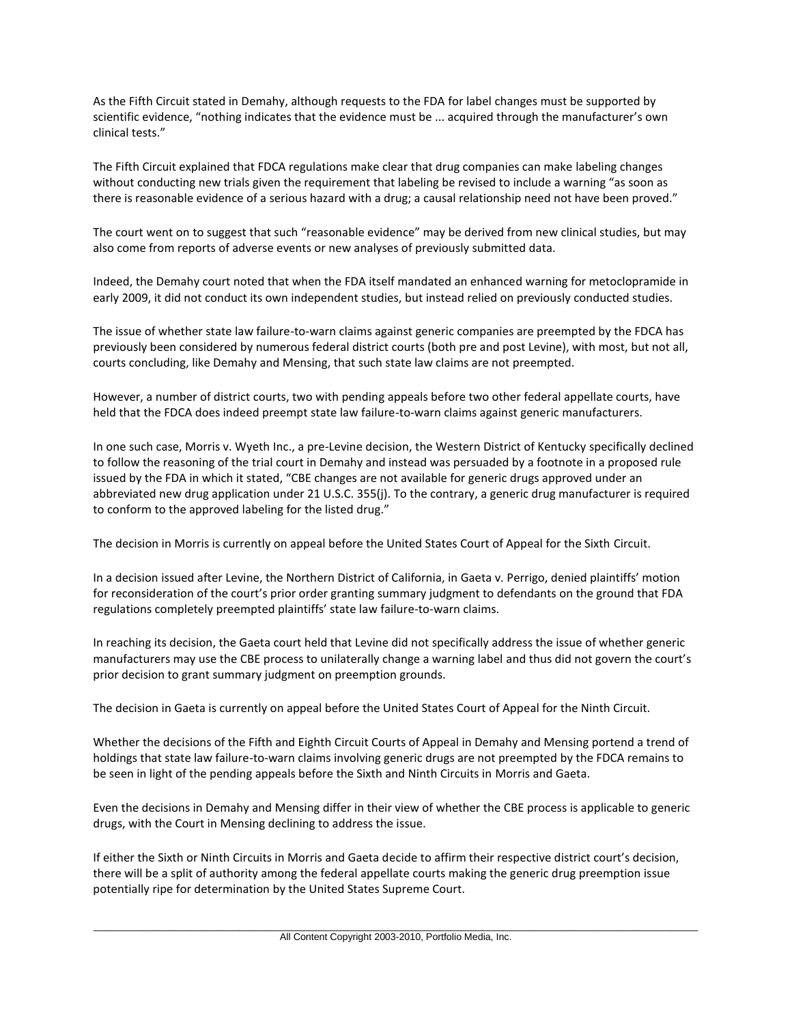As the Fifth Circuit stated in Demahy, although requests to the FDA for label changes must be supported by scientific evidence, "nothing indicates that the evidence must be ... acquired through the manufacturer's own clinical tests."

The Fifth Circuit explained that FDCA regulations make clear that drug companies can make labeling changes without conducting new trials given the requirement that labeling be revised to include a warning "as soon as there is reasonable evidence of a serious hazard with a drug; a causal relationship need not have been proved."

The court went on to suggest that such "reasonable evidence" may be derived from new clinical studies, but may also come from reports of adverse events or new analyses of previously submitted data.

Indeed, the Demahy court noted that when the FDA itself mandated an enhanced warning for metoclopramide in early 2009, it did not conduct its own independent studies, but instead relied on previously conducted studies.

The issue of whether state law failure-to-warn claims against generic companies are preempted by the FDCA has previously been considered by numerous federal district courts (both pre and post Levine), with most, but not all, courts concluding, like Demahy and Mensing, that such state law claims are not preempted.

However, a number of district courts, two with pending appeals before two other federal appellate courts, have held that the FDCA does indeed preempt state law failure-to-warn claims against generic manufacturers.

In one such case, Morris v. Wyeth Inc., a pre-Levine decision, the Western District of Kentucky specifically declined to follow the reasoning of the trial court in Demahy and instead was persuaded by a footnote in a proposed rule issued by the FDA in which it stated, "CBE changes are not available for generic drugs approved under an abbreviated new drug application under 21 U.S.C. 355(j). To the contrary, a generic drug manufacturer is required to conform to the approved labeling for the listed drug."

The decision in Morris is currently on appeal before the United States Court of Appeal for the Sixth Circuit.

In a decision issued after Levine, the Northern District of California, in Gaeta v. Perrigo, denied plaintiffs' motion for reconsideration of the court's prior order granting summary judgment to defendants on the ground that FDA regulations completely preempted plaintiffs' state law failure-to-warn claims.

In reaching its decision, the Gaeta court held that Levine did not specifically address the issue of whether generic manufacturers may use the CBE process to unilaterally change a warning label and thus did not govern the court's prior decision to grant summary judgment on preemption grounds.

The decision in Gaeta is currently on appeal before the United States Court of Appeal for the Ninth Circuit.

Whether the decisions of the Fifth and Eighth Circuit Courts of Appeal in Demahy and Mensing portend a trend of holdings that state law failure-to-warn claims involving generic drugs are not preempted by the FDCA remains to be seen in light of the pending appeals before the Sixth and Ninth Circuits in Morris and Gaeta.

Even the decisions in Demahy and Mensing differ in their view of whether the CBE process is applicable to generic drugs, with the Court in Mensing declining to address the issue.

If either the Sixth or Ninth Circuits in Morris and Gaeta decide to affirm their respective district court's decision, there will be a split of authority among the federal appellate courts making the generic drug preemption issue potentially ripe for determination by the United States Supreme Court.